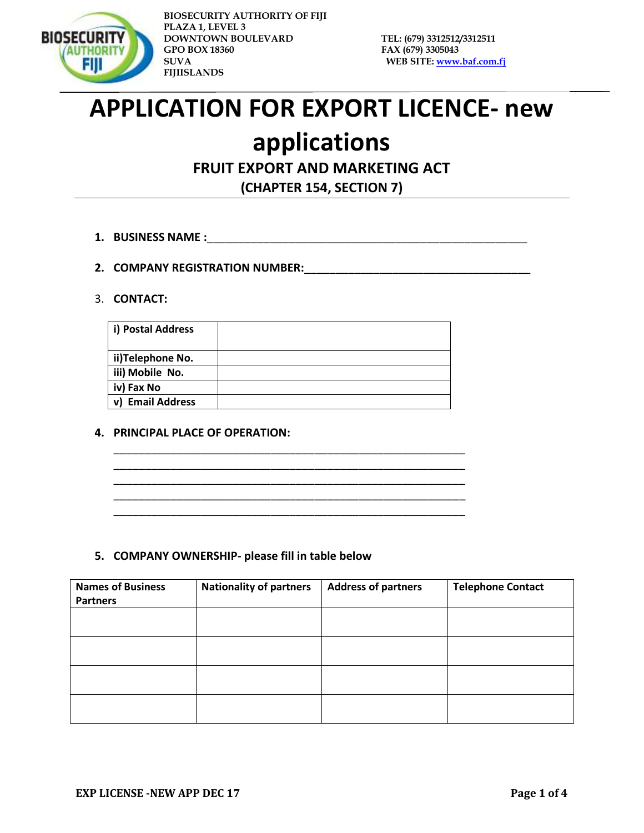

# **APPLICATION FOR EXPORT LICENCE- new**

## **applications**

### **FRUIT EXPORT AND MARKETING ACT**

**(CHAPTER 154, SECTION 7)**

- **1. BUSINESS NAME :**\_\_\_\_\_\_\_\_\_\_\_\_\_\_\_\_\_\_\_\_\_\_\_\_\_\_\_\_\_\_\_\_\_\_\_\_\_\_\_\_\_\_\_\_\_\_\_\_\_\_\_
- **2. COMPANY REGISTRATION NUMBER:**\_\_\_\_\_\_\_\_\_\_\_\_\_\_\_\_\_\_\_\_\_\_\_\_\_\_\_\_\_\_\_\_\_\_\_\_

#### 3. **CONTACT:**

| i) Postal Address          |  |
|----------------------------|--|
| ii)Telephone No.           |  |
| iii) Mobile No.            |  |
| iv) Fax No                 |  |
| <b>Email Address</b><br>v) |  |

\_\_\_\_\_\_\_\_\_\_\_\_\_\_\_\_\_\_\_\_\_\_\_\_\_\_\_\_\_\_\_\_\_\_\_\_\_\_\_\_\_\_\_\_\_\_\_\_\_\_\_\_\_\_\_\_ \_\_\_\_\_\_\_\_\_\_\_\_\_\_\_\_\_\_\_\_\_\_\_\_\_\_\_\_\_\_\_\_\_\_\_\_\_\_\_\_\_\_\_\_\_\_\_\_\_\_\_\_\_\_\_\_ \_\_\_\_\_\_\_\_\_\_\_\_\_\_\_\_\_\_\_\_\_\_\_\_\_\_\_\_\_\_\_\_\_\_\_\_\_\_\_\_\_\_\_\_\_\_\_\_\_\_\_\_\_\_\_\_ \_\_\_\_\_\_\_\_\_\_\_\_\_\_\_\_\_\_\_\_\_\_\_\_\_\_\_\_\_\_\_\_\_\_\_\_\_\_\_\_\_\_\_\_\_\_\_\_\_\_\_\_\_\_\_\_ \_\_\_\_\_\_\_\_\_\_\_\_\_\_\_\_\_\_\_\_\_\_\_\_\_\_\_\_\_\_\_\_\_\_\_\_\_\_\_\_\_\_\_\_\_\_\_\_\_\_\_\_\_\_\_\_

#### **4. PRINCIPAL PLACE OF OPERATION:**

**5. COMPANY OWNERSHIP- please fill in table below**

| <b>Names of Business</b> | <b>Nationality of partners</b> | <b>Address of partners</b> | <b>Telephone Contact</b> |
|--------------------------|--------------------------------|----------------------------|--------------------------|
| <b>Partners</b>          |                                |                            |                          |
|                          |                                |                            |                          |
|                          |                                |                            |                          |
|                          |                                |                            |                          |
|                          |                                |                            |                          |
|                          |                                |                            |                          |
|                          |                                |                            |                          |
|                          |                                |                            |                          |
|                          |                                |                            |                          |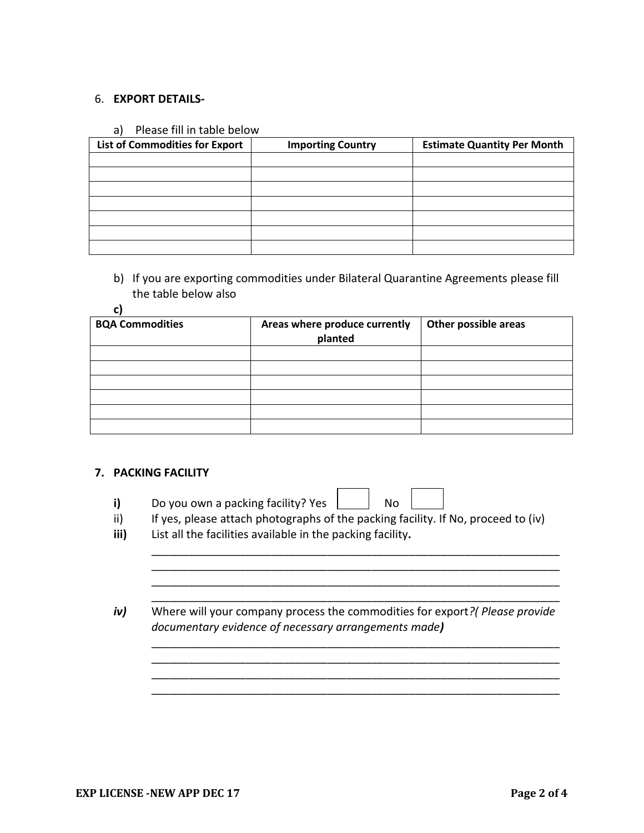#### 6. **EXPORT DETAILS-**

#### a) Please fill in table below

| <b>List of Commodities for Export</b> | <b>Importing Country</b> | <b>Estimate Quantity Per Month</b> |
|---------------------------------------|--------------------------|------------------------------------|
|                                       |                          |                                    |
|                                       |                          |                                    |
|                                       |                          |                                    |
|                                       |                          |                                    |
|                                       |                          |                                    |
|                                       |                          |                                    |
|                                       |                          |                                    |

b) If you are exporting commodities under Bilateral Quarantine Agreements please fill the table below also

#### **c)**

| <b>BQA Commodities</b> | Areas where produce currently<br>planted | Other possible areas |
|------------------------|------------------------------------------|----------------------|
|                        |                                          |                      |
|                        |                                          |                      |
|                        |                                          |                      |
|                        |                                          |                      |
|                        |                                          |                      |
|                        |                                          |                      |

#### **7. PACKING FACILITY**

| Do you own a packing facility? Yes | No |
|------------------------------------|----|
|                                    |    |

ii) If yes, please attach photographs of the packing facility. If No, proceed to (iv)

 $\Gamma$ 

\_\_\_\_\_\_\_\_\_\_\_\_\_\_\_\_\_\_\_\_\_\_\_\_\_\_\_\_\_\_\_\_\_\_\_\_\_\_\_\_\_\_\_\_\_\_\_\_\_\_\_\_\_\_\_\_\_\_\_\_\_\_\_\_\_ \_\_\_\_\_\_\_\_\_\_\_\_\_\_\_\_\_\_\_\_\_\_\_\_\_\_\_\_\_\_\_\_\_\_\_\_\_\_\_\_\_\_\_\_\_\_\_\_\_\_\_\_\_\_\_\_\_\_\_\_\_\_\_\_\_ \_\_\_\_\_\_\_\_\_\_\_\_\_\_\_\_\_\_\_\_\_\_\_\_\_\_\_\_\_\_\_\_\_\_\_\_\_\_\_\_\_\_\_\_\_\_\_\_\_\_\_\_\_\_\_\_\_\_\_\_\_\_\_\_\_ \_\_\_\_\_\_\_\_\_\_\_\_\_\_\_\_\_\_\_\_\_\_\_\_\_\_\_\_\_\_\_\_\_\_\_\_\_\_\_\_\_\_\_\_\_\_\_\_\_\_\_\_\_\_\_\_\_\_\_\_\_\_\_\_\_

\_\_\_\_\_\_\_\_\_\_\_\_\_\_\_\_\_\_\_\_\_\_\_\_\_\_\_\_\_\_\_\_\_\_\_\_\_\_\_\_\_\_\_\_\_\_\_\_\_\_\_\_\_\_\_\_\_\_\_\_\_\_\_\_\_ \_\_\_\_\_\_\_\_\_\_\_\_\_\_\_\_\_\_\_\_\_\_\_\_\_\_\_\_\_\_\_\_\_\_\_\_\_\_\_\_\_\_\_\_\_\_\_\_\_\_\_\_\_\_\_\_\_\_\_\_\_\_\_\_\_ \_\_\_\_\_\_\_\_\_\_\_\_\_\_\_\_\_\_\_\_\_\_\_\_\_\_\_\_\_\_\_\_\_\_\_\_\_\_\_\_\_\_\_\_\_\_\_\_\_\_\_\_\_\_\_\_\_\_\_\_\_\_\_\_\_ \_\_\_\_\_\_\_\_\_\_\_\_\_\_\_\_\_\_\_\_\_\_\_\_\_\_\_\_\_\_\_\_\_\_\_\_\_\_\_\_\_\_\_\_\_\_\_\_\_\_\_\_\_\_\_\_\_\_\_\_\_\_\_\_\_

- **iii)** List all the facilities available in the packing facility**.**
- *iv)* Where will your company process the commodities for export*?( Please provide documentary evidence of necessary arrangements made)*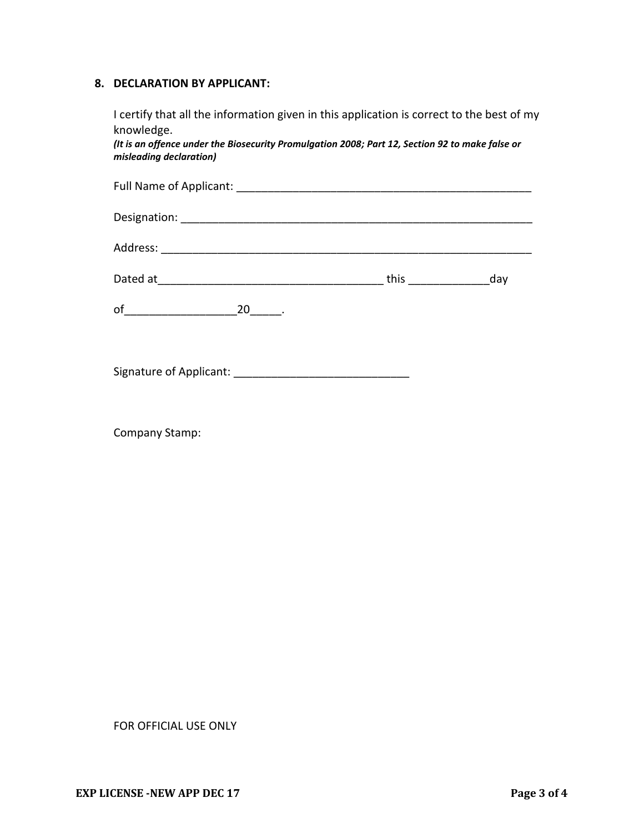#### **8. DECLARATION BY APPLICANT:**

I certify that all the information given in this application is correct to the best of my knowledge.

*(It is an offence under the Biosecurity Promulgation 2008; Part 12, Section 92 to make false or misleading declaration)*

|                          | this $\qquad \qquad$ | day |
|--------------------------|----------------------|-----|
| of $\qquad \qquad$<br>20 |                      |     |
|                          |                      |     |
| Signature of Applicant:  |                      |     |

Company Stamp:

FOR OFFICIAL USE ONLY